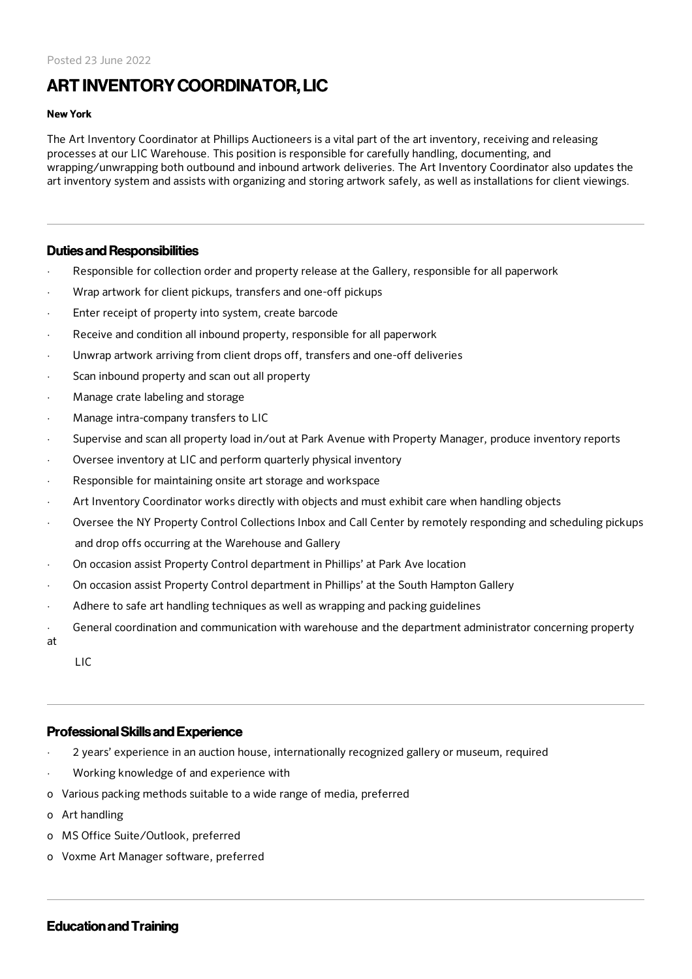# ART INVENTORYCOORDINATOR, LIC

#### New York

The Art Inventory Coordinator at Phillips Auctioneers is a vital part of the art inventory, receiving and releasing processes at our LIC Warehouse. This position is responsible for carefully handling, documenting, and wrapping/unwrapping both outbound and inbound artwork deliveries. The Art Inventory Coordinator also updates the art inventory system and assists with organizing and storing artwork safely, as well as installations for client viewings.

## Duties and Responsibilities

- Responsible for collection order and property release at the Gallery, responsible for all paperwork
- Wrap artwork for client pickups, transfers and one-off pickups
- Enter receipt of property into system, create barcode
- Receive and condition all inbound property, responsible for all paperwork
- Unwrap artwork arriving from client drops off, transfers and one-off deliveries
- Scan inbound property and scan out all property
- Manage crate labeling and storage
- · Manage intra-company transfers to LIC
- Supervise and scan all property load in/out at Park Avenue with Property Manager, produce inventory reports
- Oversee inventory at LIC and perform quarterly physical inventory
- Responsible for maintaining onsite art storage and workspace
- Art Inventory Coordinator works directly with objects and must exhibit care when handling objects
- · Oversee the NY Property Control Collections Inbox and Call Center by remotely responding and scheduling pickups and drop offs occurring at the Warehouse and Gallery
- · On occasion assist Property Control department in Phillips' at Park Ave location
- · On occasion assist Property Control department in Phillips' at the South Hampton Gallery
- Adhere to safe art handling techniques as well as wrapping and packing guidelines
- General coordination and communication with warehouse and the department administrator concerning property

at

LIC

## ProfessionalSkills and Experience

- · 2 years' experience in an auction house, internationally recognized gallery or museum, required
- · Working knowledge of and experience with
- o Various packing methods suitable to a wide range of media, preferred
- o Art handling
- o MS Office Suite/Outlook, preferred
- o Voxme Art Manager software, preferred